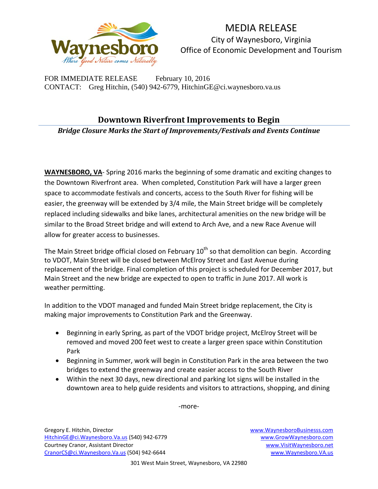

MEDIA RELEASE City of Waynesboro, Virginia Office of Economic Development and Tourism

FOR IMMEDIATE RELEASE February 10, 2016 CONTACT: Greg Hitchin, (540) 942-6779, HitchinGE@ci.waynesboro.va.us

## **Downtown Riverfront Improvements to Begin**

*Bridge Closure Marks the Start of Improvements/Festivals and Events Continue*

**WAYNESBORO, VA**- Spring 2016 marks the beginning of some dramatic and exciting changes to the Downtown Riverfront area. When completed, Constitution Park will have a larger green space to accommodate festivals and concerts, access to the South River for fishing will be easier, the greenway will be extended by 3/4 mile, the Main Street bridge will be completely replaced including sidewalks and bike lanes, architectural amenities on the new bridge will be similar to the Broad Street bridge and will extend to Arch Ave, and a new Race Avenue will allow for greater access to businesses.

The Main Street bridge official closed on February  $10<sup>th</sup>$  so that demolition can begin. According to VDOT, Main Street will be closed between McElroy Street and East Avenue during replacement of the bridge. Final completion of this project is scheduled for December 2017, but Main Street and the new bridge are expected to open to traffic in June 2017. All work is weather permitting.

In addition to the VDOT managed and funded Main Street bridge replacement, the City is making major improvements to Constitution Park and the Greenway.

- Beginning in early Spring, as part of the VDOT bridge project, McElroy Street will be removed and moved 200 feet west to create a larger green space within Constitution Park
- Beginning in Summer, work will begin in Constitution Park in the area between the two bridges to extend the greenway and create easier access to the South River
- Within the next 30 days, new directional and parking lot signs will be installed in the downtown area to help guide residents and visitors to attractions, shopping, and dining

-more-

Gregory E. Hitchin, Director [www.WaynesboroBusinesss.com](http://www.waynesborobusinesss.com/) [HitchinGE@ci.Waynesboro.Va.us](mailto:HitchinGE@ci.Waynesboro.Va.us) (540) 942-6779 [www.GrowWaynesboro.com](http://www.growwaynesboro.com/) Courtney Cranor, Assistant Director [www.VisitWaynesboro.net](http://www.visitwaynesboro.net/) [CranorCS@ci.Waynesboro.Va.us](mailto:CranorCS@ci.Waynesboro.Va.us) (504) 942-6644 [www.Waynesboro.VA.us](http://www.waynesboro.va.us/)

301 West Main Street, Waynesboro, VA 22980